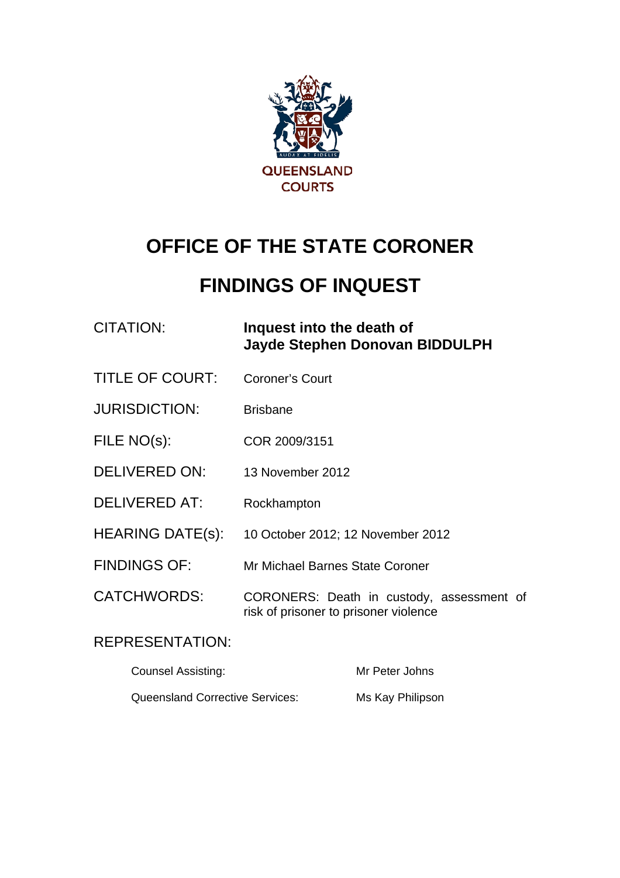

# **OFFICE OF THE STATE CORONER**

# **FINDINGS OF INQUEST**

CITATION: **Inquest into the death of Jayde Stephen Donovan BIDDULPH** 

- TITLE OF COURT: Coroner's Court
- JURISDICTION: Brisbane
- FILE NO(s): COR 2009/3151
- DELIVERED ON: 13 November 2012
- DELIVERED AT: Rockhampton
- HEARING DATE(s): 10 October 2012; 12 November 2012
- FINDINGS OF: Mr Michael Barnes State Coroner
- CATCHWORDS: CORONERS: Death in custody, assessment of risk of prisoner to prisoner violence

### REPRESENTATION:

| <b>Counsel Assisting:</b>              | Mr Peter Johns   |
|----------------------------------------|------------------|
| <b>Queensland Corrective Services:</b> | Ms Kay Philipson |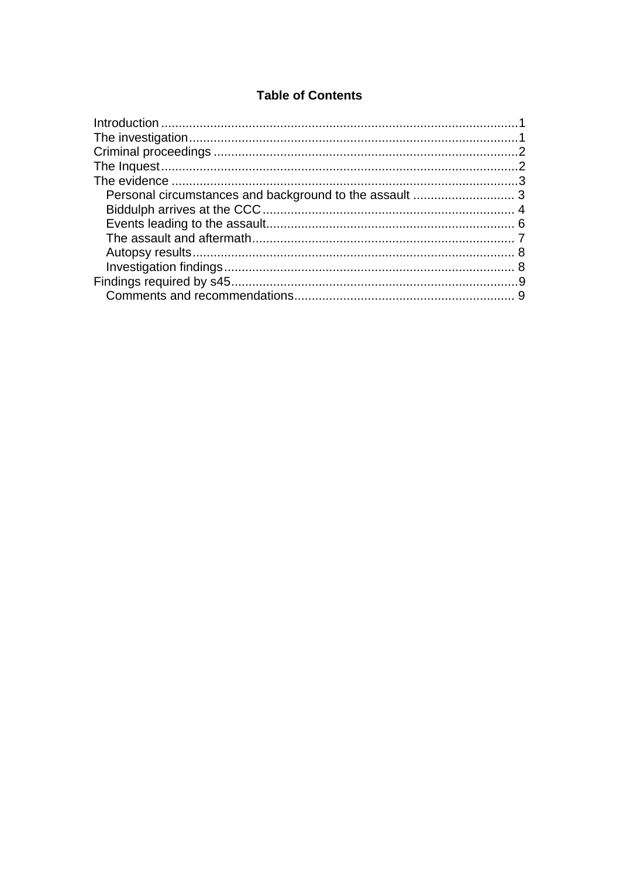#### **Table of Contents**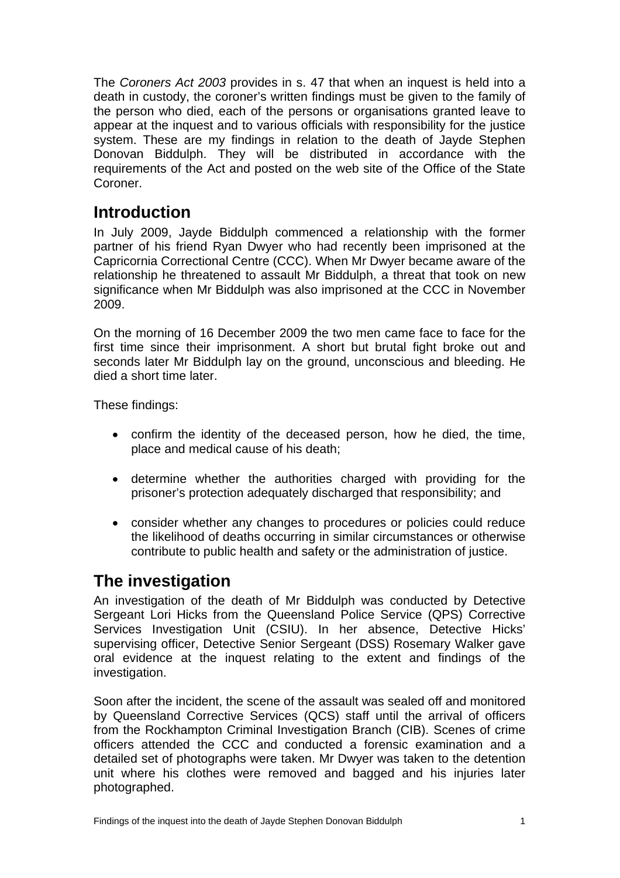<span id="page-2-0"></span>The *Coroners Act 2003* provides in s. 47 that when an inquest is held into a death in custody, the coroner's written findings must be given to the family of the person who died, each of the persons or organisations granted leave to appear at the inquest and to various officials with responsibility for the justice system. These are my findings in relation to the death of Jayde Stephen Donovan Biddulph. They will be distributed in accordance with the requirements of the Act and posted on the web site of the Office of the State Coroner.

# **Introduction**

In July 2009, Jayde Biddulph commenced a relationship with the former partner of his friend Ryan Dwyer who had recently been imprisoned at the Capricornia Correctional Centre (CCC). When Mr Dwyer became aware of the relationship he threatened to assault Mr Biddulph, a threat that took on new significance when Mr Biddulph was also imprisoned at the CCC in November 2009.

On the morning of 16 December 2009 the two men came face to face for the first time since their imprisonment. A short but brutal fight broke out and seconds later Mr Biddulph lay on the ground, unconscious and bleeding. He died a short time later.

These findings:

- confirm the identity of the deceased person, how he died, the time, place and medical cause of his death;
- determine whether the authorities charged with providing for the prisoner's protection adequately discharged that responsibility; and
- consider whether any changes to procedures or policies could reduce the likelihood of deaths occurring in similar circumstances or otherwise contribute to public health and safety or the administration of justice.

# **The investigation**

An investigation of the death of Mr Biddulph was conducted by Detective Sergeant Lori Hicks from the Queensland Police Service (QPS) Corrective Services Investigation Unit (CSIU). In her absence, Detective Hicks' supervising officer, Detective Senior Sergeant (DSS) Rosemary Walker gave oral evidence at the inquest relating to the extent and findings of the investigation.

Soon after the incident, the scene of the assault was sealed off and monitored by Queensland Corrective Services (QCS) staff until the arrival of officers from the Rockhampton Criminal Investigation Branch (CIB). Scenes of crime officers attended the CCC and conducted a forensic examination and a detailed set of photographs were taken. Mr Dwyer was taken to the detention unit where his clothes were removed and bagged and his injuries later photographed.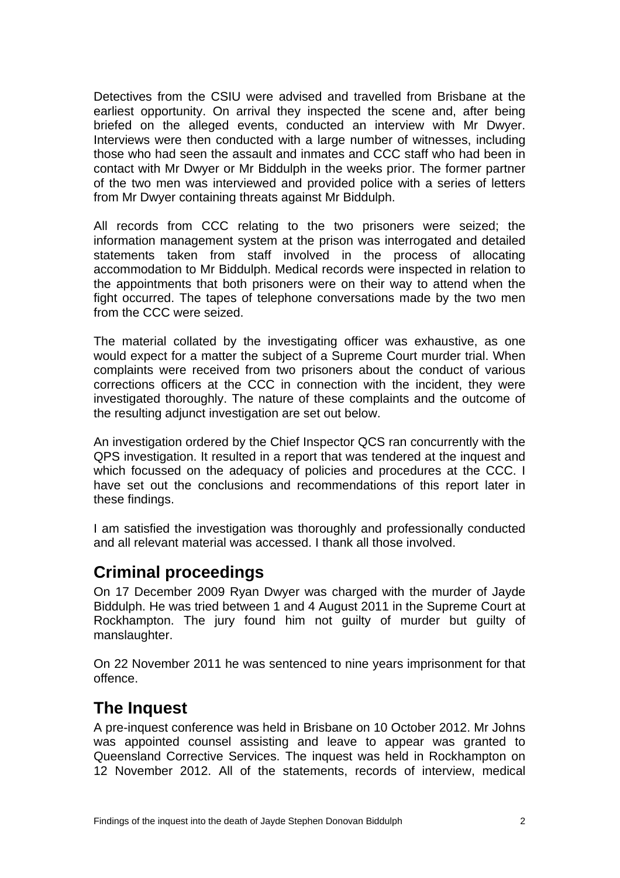<span id="page-3-0"></span>Detectives from the CSIU were advised and travelled from Brisbane at the earliest opportunity. On arrival they inspected the scene and, after being briefed on the alleged events, conducted an interview with Mr Dwyer. Interviews were then conducted with a large number of witnesses, including those who had seen the assault and inmates and CCC staff who had been in contact with Mr Dwyer or Mr Biddulph in the weeks prior. The former partner of the two men was interviewed and provided police with a series of letters from Mr Dwyer containing threats against Mr Biddulph.

All records from CCC relating to the two prisoners were seized; the information management system at the prison was interrogated and detailed statements taken from staff involved in the process of allocating accommodation to Mr Biddulph. Medical records were inspected in relation to the appointments that both prisoners were on their way to attend when the fight occurred. The tapes of telephone conversations made by the two men from the CCC were seized.

The material collated by the investigating officer was exhaustive, as one would expect for a matter the subject of a Supreme Court murder trial. When complaints were received from two prisoners about the conduct of various corrections officers at the CCC in connection with the incident, they were investigated thoroughly. The nature of these complaints and the outcome of the resulting adjunct investigation are set out below.

An investigation ordered by the Chief Inspector QCS ran concurrently with the QPS investigation. It resulted in a report that was tendered at the inquest and which focussed on the adequacy of policies and procedures at the CCC. I have set out the conclusions and recommendations of this report later in these findings.

I am satisfied the investigation was thoroughly and professionally conducted and all relevant material was accessed. I thank all those involved.

# **Criminal proceedings**

On 17 December 2009 Ryan Dwyer was charged with the murder of Jayde Biddulph. He was tried between 1 and 4 August 2011 in the Supreme Court at Rockhampton. The jury found him not guilty of murder but guilty of manslaughter.

On 22 November 2011 he was sentenced to nine years imprisonment for that offence.

# **The Inquest**

A pre-inquest conference was held in Brisbane on 10 October 2012. Mr Johns was appointed counsel assisting and leave to appear was granted to Queensland Corrective Services. The inquest was held in Rockhampton on 12 November 2012. All of the statements, records of interview, medical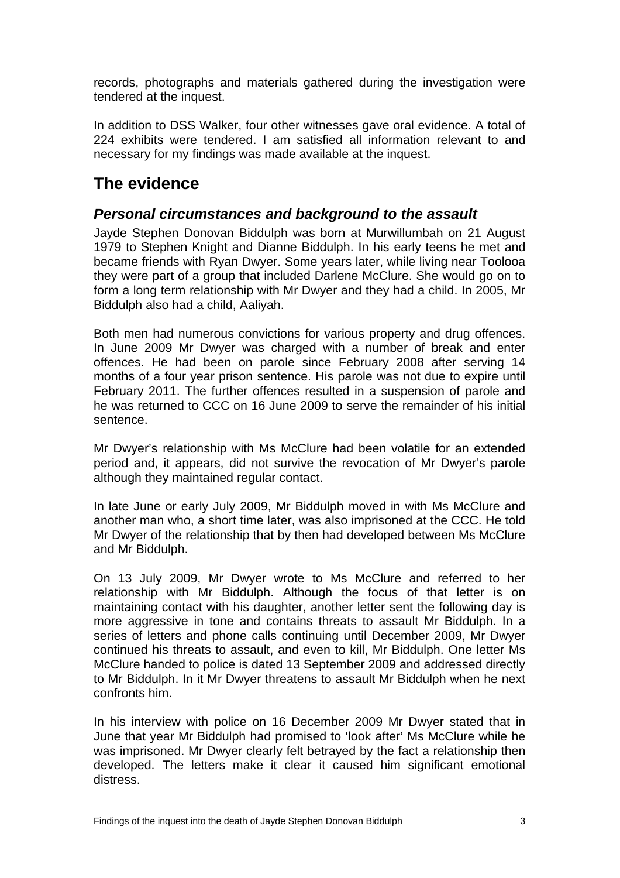<span id="page-4-0"></span>records, photographs and materials gathered during the investigation were tendered at the inquest.

In addition to DSS Walker, four other witnesses gave oral evidence. A total of 224 exhibits were tendered. I am satisfied all information relevant to and necessary for my findings was made available at the inquest.

# **The evidence**

#### *Personal circumstances and background to the assault*

Jayde Stephen Donovan Biddulph was born at Murwillumbah on 21 August 1979 to Stephen Knight and Dianne Biddulph. In his early teens he met and became friends with Ryan Dwyer. Some years later, while living near Toolooa they were part of a group that included Darlene McClure. She would go on to form a long term relationship with Mr Dwyer and they had a child. In 2005, Mr Biddulph also had a child, Aaliyah.

Both men had numerous convictions for various property and drug offences. In June 2009 Mr Dwyer was charged with a number of break and enter offences. He had been on parole since February 2008 after serving 14 months of a four year prison sentence. His parole was not due to expire until February 2011. The further offences resulted in a suspension of parole and he was returned to CCC on 16 June 2009 to serve the remainder of his initial sentence.

Mr Dwyer's relationship with Ms McClure had been volatile for an extended period and, it appears, did not survive the revocation of Mr Dwyer's parole although they maintained regular contact.

In late June or early July 2009, Mr Biddulph moved in with Ms McClure and another man who, a short time later, was also imprisoned at the CCC. He told Mr Dwyer of the relationship that by then had developed between Ms McClure and Mr Biddulph.

On 13 July 2009, Mr Dwyer wrote to Ms McClure and referred to her relationship with Mr Biddulph. Although the focus of that letter is on maintaining contact with his daughter, another letter sent the following day is more aggressive in tone and contains threats to assault Mr Biddulph. In a series of letters and phone calls continuing until December 2009, Mr Dwyer continued his threats to assault, and even to kill, Mr Biddulph. One letter Ms McClure handed to police is dated 13 September 2009 and addressed directly to Mr Biddulph. In it Mr Dwyer threatens to assault Mr Biddulph when he next confronts him.

In his interview with police on 16 December 2009 Mr Dwyer stated that in June that year Mr Biddulph had promised to 'look after' Ms McClure while he was imprisoned. Mr Dwyer clearly felt betrayed by the fact a relationship then developed. The letters make it clear it caused him significant emotional distress.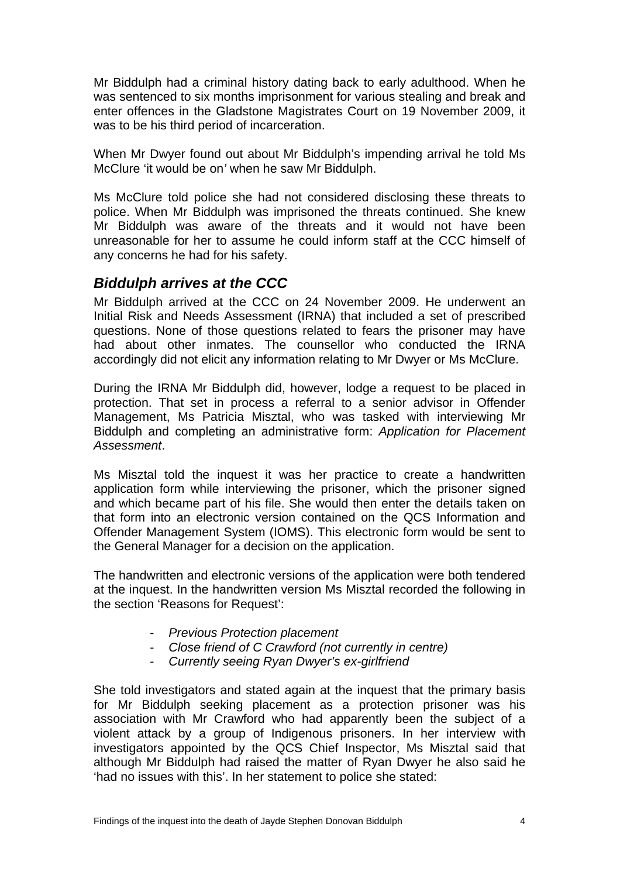<span id="page-5-0"></span>Mr Biddulph had a criminal history dating back to early adulthood. When he was sentenced to six months imprisonment for various stealing and break and enter offences in the Gladstone Magistrates Court on 19 November 2009, it was to be his third period of incarceration.

When Mr Dwyer found out about Mr Biddulph's impending arrival he told Ms McClure 'it would be on*'* when he saw Mr Biddulph.

Ms McClure told police she had not considered disclosing these threats to police. When Mr Biddulph was imprisoned the threats continued. She knew Mr Biddulph was aware of the threats and it would not have been unreasonable for her to assume he could inform staff at the CCC himself of any concerns he had for his safety.

#### *Biddulph arrives at the CCC*

Mr Biddulph arrived at the CCC on 24 November 2009. He underwent an Initial Risk and Needs Assessment (IRNA) that included a set of prescribed questions. None of those questions related to fears the prisoner may have had about other inmates. The counsellor who conducted the IRNA accordingly did not elicit any information relating to Mr Dwyer or Ms McClure.

During the IRNA Mr Biddulph did, however, lodge a request to be placed in protection. That set in process a referral to a senior advisor in Offender Management, Ms Patricia Misztal, who was tasked with interviewing Mr Biddulph and completing an administrative form: *Application for Placement Assessment*.

Ms Misztal told the inquest it was her practice to create a handwritten application form while interviewing the prisoner, which the prisoner signed and which became part of his file. She would then enter the details taken on that form into an electronic version contained on the QCS Information and Offender Management System (IOMS). This electronic form would be sent to the General Manager for a decision on the application.

The handwritten and electronic versions of the application were both tendered at the inquest. In the handwritten version Ms Misztal recorded the following in the section 'Reasons for Request':

- *Previous Protection placement*
- *Close friend of C Crawford (not currently in centre)*
- *Currently seeing Ryan Dwyer's ex-girlfriend*

She told investigators and stated again at the inquest that the primary basis for Mr Biddulph seeking placement as a protection prisoner was his association with Mr Crawford who had apparently been the subject of a violent attack by a group of Indigenous prisoners. In her interview with investigators appointed by the QCS Chief Inspector, Ms Misztal said that although Mr Biddulph had raised the matter of Ryan Dwyer he also said he 'had no issues with this'. In her statement to police she stated: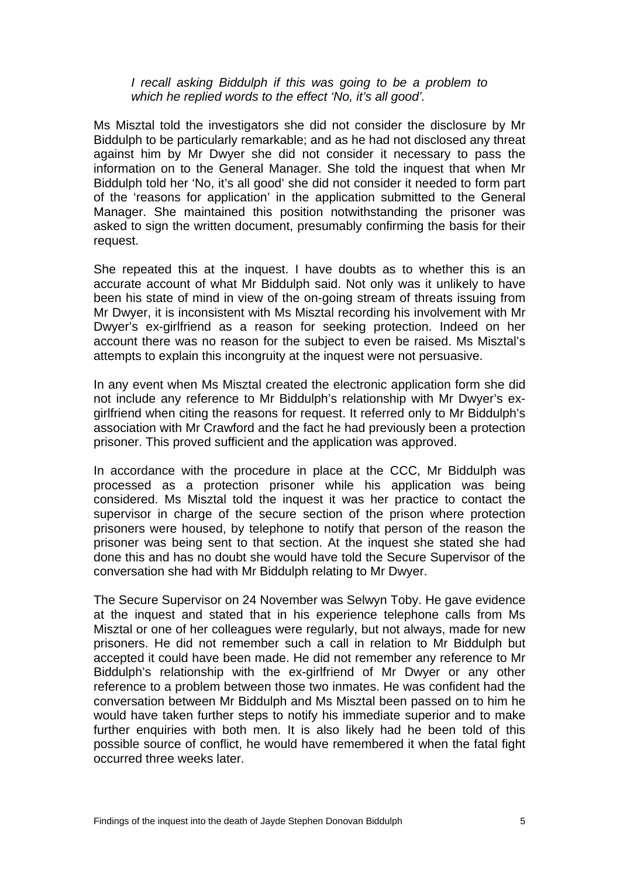#### *I recall asking Biddulph if this was going to be a problem to which he replied words to the effect 'No, it's all good'.*

Ms Misztal told the investigators she did not consider the disclosure by Mr Biddulph to be particularly remarkable; and as he had not disclosed any threat against him by Mr Dwyer she did not consider it necessary to pass the information on to the General Manager. She told the inquest that when Mr Biddulph told her 'No, it's all good' she did not consider it needed to form part of the 'reasons for application' in the application submitted to the General Manager. She maintained this position notwithstanding the prisoner was asked to sign the written document, presumably confirming the basis for their request.

She repeated this at the inquest. I have doubts as to whether this is an accurate account of what Mr Biddulph said. Not only was it unlikely to have been his state of mind in view of the on-going stream of threats issuing from Mr Dwyer, it is inconsistent with Ms Misztal recording his involvement with Mr Dwyer's ex-girlfriend as a reason for seeking protection. Indeed on her account there was no reason for the subject to even be raised. Ms Misztal's attempts to explain this incongruity at the inquest were not persuasive.

In any event when Ms Misztal created the electronic application form she did not include any reference to Mr Biddulph's relationship with Mr Dwyer's exgirlfriend when citing the reasons for request. It referred only to Mr Biddulph's association with Mr Crawford and the fact he had previously been a protection prisoner. This proved sufficient and the application was approved.

In accordance with the procedure in place at the CCC, Mr Biddulph was processed as a protection prisoner while his application was being considered. Ms Misztal told the inquest it was her practice to contact the supervisor in charge of the secure section of the prison where protection prisoners were housed, by telephone to notify that person of the reason the prisoner was being sent to that section. At the inquest she stated she had done this and has no doubt she would have told the Secure Supervisor of the conversation she had with Mr Biddulph relating to Mr Dwyer.

The Secure Supervisor on 24 November was Selwyn Toby. He gave evidence at the inquest and stated that in his experience telephone calls from Ms Misztal or one of her colleagues were regularly, but not always, made for new prisoners. He did not remember such a call in relation to Mr Biddulph but accepted it could have been made. He did not remember any reference to Mr Biddulph's relationship with the ex-girlfriend of Mr Dwyer or any other reference to a problem between those two inmates. He was confident had the conversation between Mr Biddulph and Ms Misztal been passed on to him he would have taken further steps to notify his immediate superior and to make further enquiries with both men. It is also likely had he been told of this possible source of conflict, he would have remembered it when the fatal fight occurred three weeks later.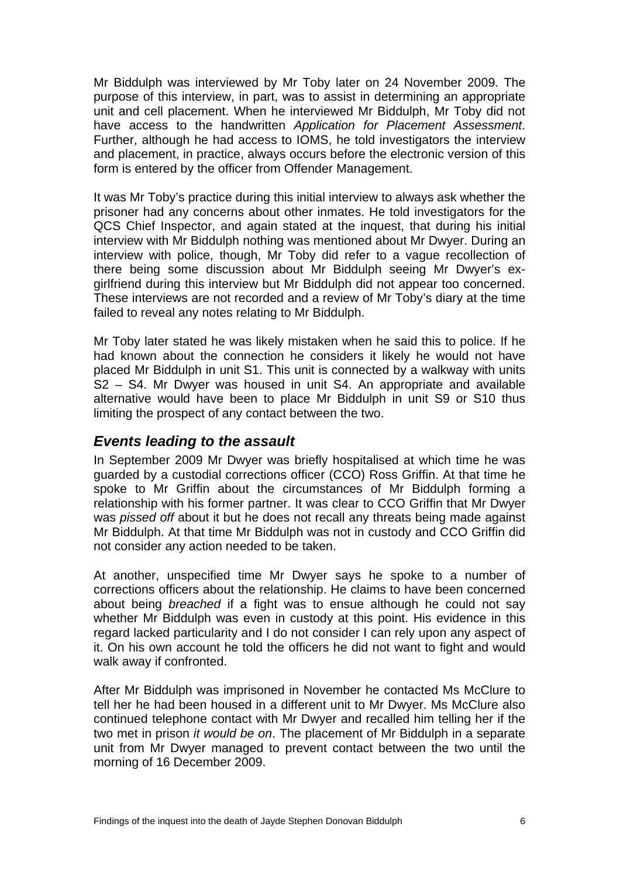<span id="page-7-0"></span>Mr Biddulph was interviewed by Mr Toby later on 24 November 2009. The purpose of this interview, in part, was to assist in determining an appropriate unit and cell placement. When he interviewed Mr Biddulph, Mr Toby did not have access to the handwritten *Application for Placement Assessment*. Further, although he had access to IOMS, he told investigators the interview and placement, in practice, always occurs before the electronic version of this form is entered by the officer from Offender Management.

It was Mr Toby's practice during this initial interview to always ask whether the prisoner had any concerns about other inmates. He told investigators for the QCS Chief Inspector, and again stated at the inquest, that during his initial interview with Mr Biddulph nothing was mentioned about Mr Dwyer. During an interview with police, though, Mr Toby did refer to a vague recollection of there being some discussion about Mr Biddulph seeing Mr Dwyer's exgirlfriend during this interview but Mr Biddulph did not appear too concerned. These interviews are not recorded and a review of Mr Toby's diary at the time failed to reveal any notes relating to Mr Biddulph.

Mr Toby later stated he was likely mistaken when he said this to police. If he had known about the connection he considers it likely he would not have placed Mr Biddulph in unit S1. This unit is connected by a walkway with units S2 – S4. Mr Dwyer was housed in unit S4. An appropriate and available alternative would have been to place Mr Biddulph in unit S9 or S10 thus limiting the prospect of any contact between the two.

#### *Events leading to the assault*

In September 2009 Mr Dwyer was briefly hospitalised at which time he was guarded by a custodial corrections officer (CCO) Ross Griffin. At that time he spoke to Mr Griffin about the circumstances of Mr Biddulph forming a relationship with his former partner. It was clear to CCO Griffin that Mr Dwyer was *pissed off* about it but he does not recall any threats being made against Mr Biddulph. At that time Mr Biddulph was not in custody and CCO Griffin did not consider any action needed to be taken.

At another, unspecified time Mr Dwyer says he spoke to a number of corrections officers about the relationship. He claims to have been concerned about being *breached* if a fight was to ensue although he could not say whether Mr Biddulph was even in custody at this point. His evidence in this regard lacked particularity and I do not consider I can rely upon any aspect of it. On his own account he told the officers he did not want to fight and would walk away if confronted.

After Mr Biddulph was imprisoned in November he contacted Ms McClure to tell her he had been housed in a different unit to Mr Dwyer. Ms McClure also continued telephone contact with Mr Dwyer and recalled him telling her if the two met in prison *it would be on*. The placement of Mr Biddulph in a separate unit from Mr Dwyer managed to prevent contact between the two until the morning of 16 December 2009.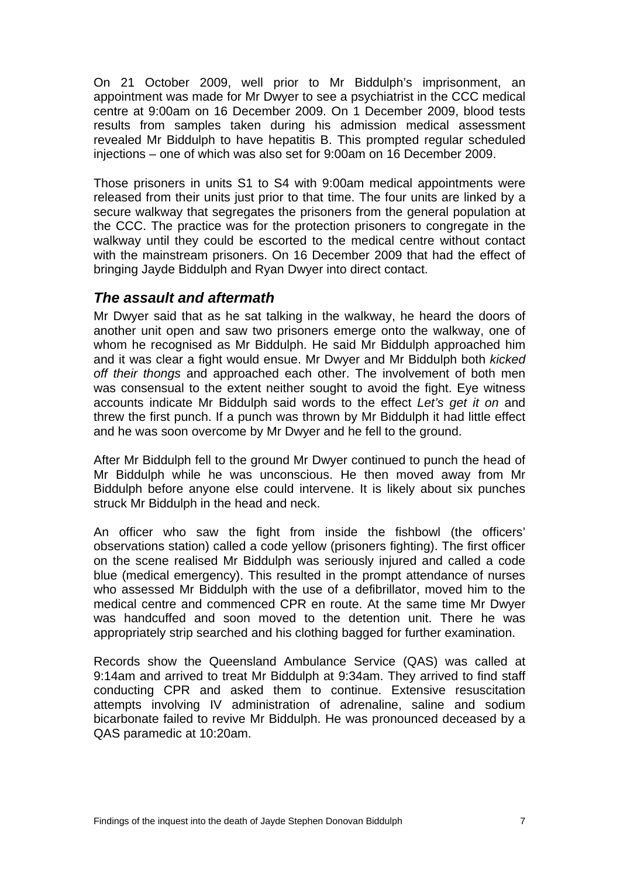<span id="page-8-0"></span>On 21 October 2009, well prior to Mr Biddulph's imprisonment, an appointment was made for Mr Dwyer to see a psychiatrist in the CCC medical centre at 9:00am on 16 December 2009. On 1 December 2009, blood tests results from samples taken during his admission medical assessment revealed Mr Biddulph to have hepatitis B. This prompted regular scheduled injections – one of which was also set for 9:00am on 16 December 2009.

Those prisoners in units S1 to S4 with 9:00am medical appointments were released from their units just prior to that time. The four units are linked by a secure walkway that segregates the prisoners from the general population at the CCC. The practice was for the protection prisoners to congregate in the walkway until they could be escorted to the medical centre without contact with the mainstream prisoners. On 16 December 2009 that had the effect of bringing Jayde Biddulph and Ryan Dwyer into direct contact.

#### *The assault and aftermath*

Mr Dwyer said that as he sat talking in the walkway, he heard the doors of another unit open and saw two prisoners emerge onto the walkway, one of whom he recognised as Mr Biddulph. He said Mr Biddulph approached him and it was clear a fight would ensue. Mr Dwyer and Mr Biddulph both *kicked off their thongs* and approached each other. The involvement of both men was consensual to the extent neither sought to avoid the fight. Eye witness accounts indicate Mr Biddulph said words to the effect *Let's get it on* and threw the first punch. If a punch was thrown by Mr Biddulph it had little effect and he was soon overcome by Mr Dwyer and he fell to the ground.

After Mr Biddulph fell to the ground Mr Dwyer continued to punch the head of Mr Biddulph while he was unconscious. He then moved away from Mr Biddulph before anyone else could intervene. It is likely about six punches struck Mr Biddulph in the head and neck.

An officer who saw the fight from inside the fishbowl (the officers' observations station) called a code yellow (prisoners fighting). The first officer on the scene realised Mr Biddulph was seriously injured and called a code blue (medical emergency). This resulted in the prompt attendance of nurses who assessed Mr Biddulph with the use of a defibrillator, moved him to the medical centre and commenced CPR en route. At the same time Mr Dwyer was handcuffed and soon moved to the detention unit. There he was appropriately strip searched and his clothing bagged for further examination.

Records show the Queensland Ambulance Service (QAS) was called at 9:14am and arrived to treat Mr Biddulph at 9:34am. They arrived to find staff conducting CPR and asked them to continue. Extensive resuscitation attempts involving IV administration of adrenaline, saline and sodium bicarbonate failed to revive Mr Biddulph. He was pronounced deceased by a QAS paramedic at 10:20am.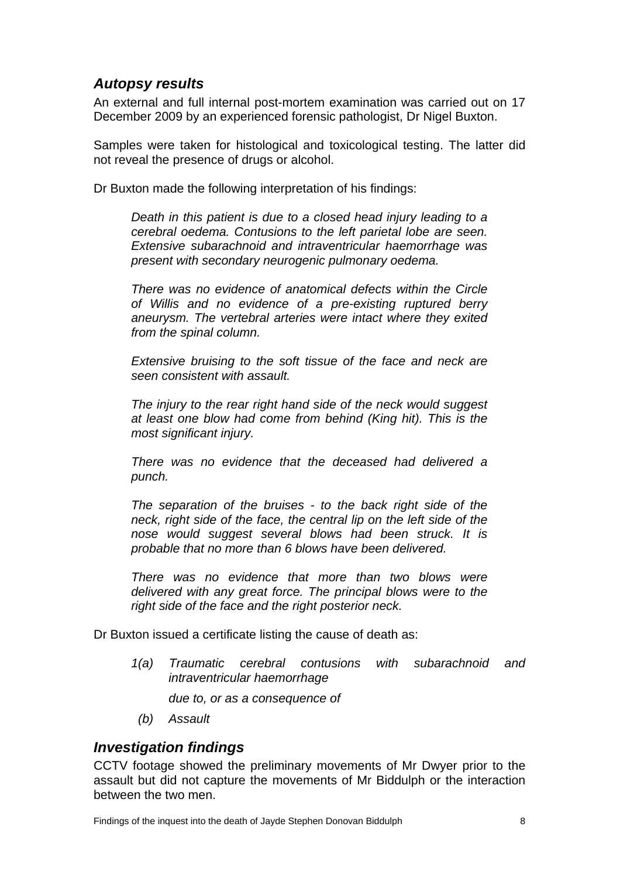#### <span id="page-9-0"></span>*Autopsy results*

An external and full internal post-mortem examination was carried out on 17 December 2009 by an experienced forensic pathologist, Dr Nigel Buxton.

Samples were taken for histological and toxicological testing. The latter did not reveal the presence of drugs or alcohol.

Dr Buxton made the following interpretation of his findings:

*Death in this patient is due to a closed head injury leading to a cerebral oedema. Contusions to the left parietal lobe are seen. Extensive subarachnoid and intraventricular haemorrhage was present with secondary neurogenic pulmonary oedema.* 

*There was no evidence of anatomical defects within the Circle of Willis and no evidence of a pre-existing ruptured berry aneurysm. The vertebral arteries were intact where they exited from the spinal column.* 

*Extensive bruising to the soft tissue of the face and neck are seen consistent with assault.* 

*The injury to the rear right hand side of the neck would suggest at least one blow had come from behind (King hit). This is the most significant injury.* 

*There was no evidence that the deceased had delivered a punch.* 

*The separation of the bruises - to the back right side of the neck, right side of the face, the central lip on the left side of the nose would suggest several blows had been struck. It is probable that no more than 6 blows have been delivered.* 

*There was no evidence that more than two blows were delivered with any great force. The principal blows were to the right side of the face and the right posterior neck.* 

Dr Buxton issued a certificate listing the cause of death as:

*1(a) Traumatic cerebral contusions with subarachnoid and intraventricular haemorrhage* 

*due to, or as a consequence of* 

 *(b) Assault* 

#### *Investigation findings*

CCTV footage showed the preliminary movements of Mr Dwyer prior to the assault but did not capture the movements of Mr Biddulph or the interaction between the two men.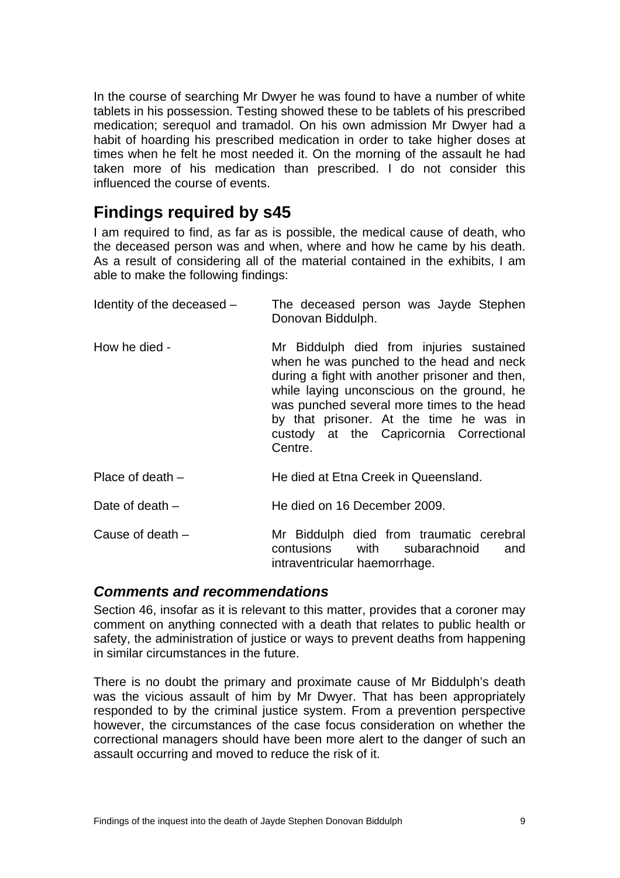<span id="page-10-0"></span>In the course of searching Mr Dwyer he was found to have a number of white tablets in his possession. Testing showed these to be tablets of his prescribed medication; serequol and tramadol. On his own admission Mr Dwyer had a habit of hoarding his prescribed medication in order to take higher doses at times when he felt he most needed it. On the morning of the assault he had taken more of his medication than prescribed. I do not consider this influenced the course of events.

## **Findings required by s45**

I am required to find, as far as is possible, the medical cause of death, who the deceased person was and when, where and how he came by his death. As a result of considering all of the material contained in the exhibits, I am able to make the following findings:

| Identity of the deceased - | The deceased person was Jayde Stephen<br>Donovan Biddulph.                                                                                                                                                                                                                                                                          |
|----------------------------|-------------------------------------------------------------------------------------------------------------------------------------------------------------------------------------------------------------------------------------------------------------------------------------------------------------------------------------|
| How he died -              | Mr Biddulph died from injuries sustained<br>when he was punched to the head and neck<br>during a fight with another prisoner and then,<br>while laying unconscious on the ground, he<br>was punched several more times to the head<br>by that prisoner. At the time he was in<br>custody at the Capricornia Correctional<br>Centre. |
| Place of death $-$         | He died at Etna Creek in Queensland.                                                                                                                                                                                                                                                                                                |
| Date of death $-$          | He died on 16 December 2009.                                                                                                                                                                                                                                                                                                        |
| Cause of death $-$         | Mr Biddulph died from traumatic cerebral<br>contusions with subarachnoid<br>and<br>intraventricular haemorrhage.                                                                                                                                                                                                                    |

#### *Comments and recommendations*

Section 46, insofar as it is relevant to this matter, provides that a coroner may comment on anything connected with a death that relates to public health or safety, the administration of justice or ways to prevent deaths from happening in similar circumstances in the future.

There is no doubt the primary and proximate cause of Mr Biddulph's death was the vicious assault of him by Mr Dwyer. That has been appropriately responded to by the criminal justice system. From a prevention perspective however, the circumstances of the case focus consideration on whether the correctional managers should have been more alert to the danger of such an assault occurring and moved to reduce the risk of it.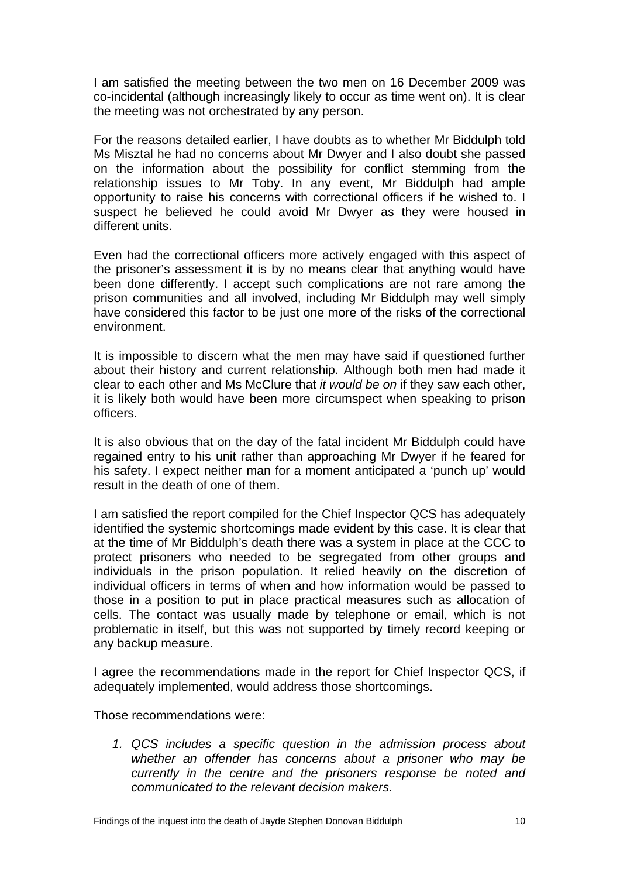I am satisfied the meeting between the two men on 16 December 2009 was co-incidental (although increasingly likely to occur as time went on). It is clear the meeting was not orchestrated by any person.

For the reasons detailed earlier, I have doubts as to whether Mr Biddulph told Ms Misztal he had no concerns about Mr Dwyer and I also doubt she passed on the information about the possibility for conflict stemming from the relationship issues to Mr Toby. In any event, Mr Biddulph had ample opportunity to raise his concerns with correctional officers if he wished to. I suspect he believed he could avoid Mr Dwyer as they were housed in different units.

Even had the correctional officers more actively engaged with this aspect of the prisoner's assessment it is by no means clear that anything would have been done differently. I accept such complications are not rare among the prison communities and all involved, including Mr Biddulph may well simply have considered this factor to be just one more of the risks of the correctional environment.

It is impossible to discern what the men may have said if questioned further about their history and current relationship. Although both men had made it clear to each other and Ms McClure that *it would be on* if they saw each other, it is likely both would have been more circumspect when speaking to prison officers.

It is also obvious that on the day of the fatal incident Mr Biddulph could have regained entry to his unit rather than approaching Mr Dwyer if he feared for his safety. I expect neither man for a moment anticipated a 'punch up' would result in the death of one of them.

I am satisfied the report compiled for the Chief Inspector QCS has adequately identified the systemic shortcomings made evident by this case. It is clear that at the time of Mr Biddulph's death there was a system in place at the CCC to protect prisoners who needed to be segregated from other groups and individuals in the prison population. It relied heavily on the discretion of individual officers in terms of when and how information would be passed to those in a position to put in place practical measures such as allocation of cells. The contact was usually made by telephone or email, which is not problematic in itself, but this was not supported by timely record keeping or any backup measure.

I agree the recommendations made in the report for Chief Inspector QCS, if adequately implemented, would address those shortcomings.

Those recommendations were:

*1. QCS includes a specific question in the admission process about whether an offender has concerns about a prisoner who may be currently in the centre and the prisoners response be noted and communicated to the relevant decision makers.*